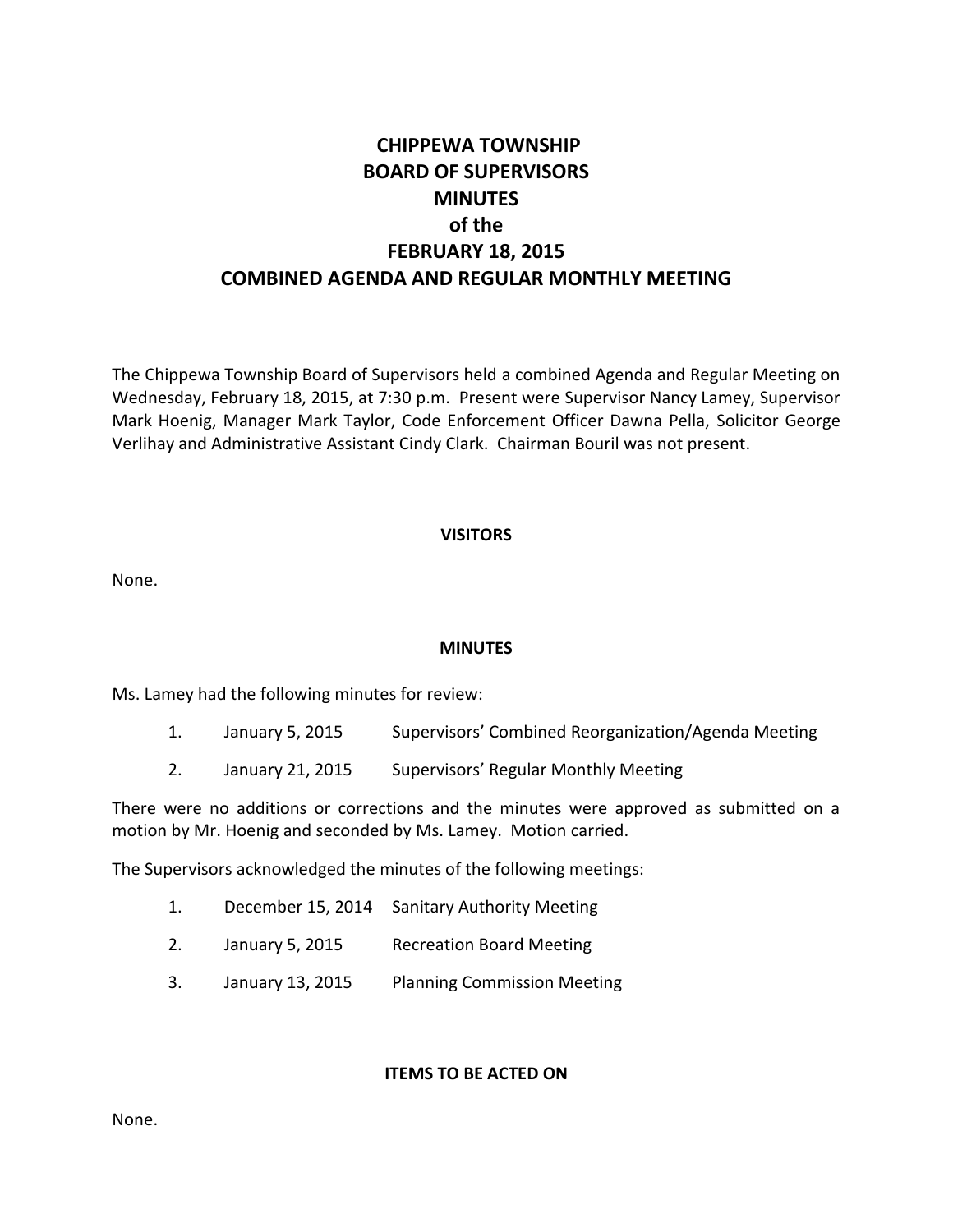# **CHIPPEWA TOWNSHIP BOARD OF SUPERVISORS MINUTES of the FEBRUARY 18, 2015 COMBINED AGENDA AND REGULAR MONTHLY MEETING**

The Chippewa Township Board of Supervisors held a combined Agenda and Regular Meeting on Wednesday, February 18, 2015, at 7:30 p.m. Present were Supervisor Nancy Lamey, Supervisor Mark Hoenig, Manager Mark Taylor, Code Enforcement Officer Dawna Pella, Solicitor George Verlihay and Administrative Assistant Cindy Clark. Chairman Bouril was not present.

### **VISITORS**

None.

# **MINUTES**

Ms. Lamey had the following minutes for review:

- 1. January 5, 2015 Supervisors' Combined Reorganization/Agenda Meeting
- 2. January 21, 2015 Supervisors' Regular Monthly Meeting

There were no additions or corrections and the minutes were approved as submitted on a motion by Mr. Hoenig and seconded by Ms. Lamey. Motion carried.

The Supervisors acknowledged the minutes of the following meetings:

- 1. December 15, 2014 Sanitary Authority Meeting
- 2. January 5, 2015 Recreation Board Meeting
- 3. January 13, 2015 Planning Commission Meeting

#### **ITEMS TO BE ACTED ON**

None.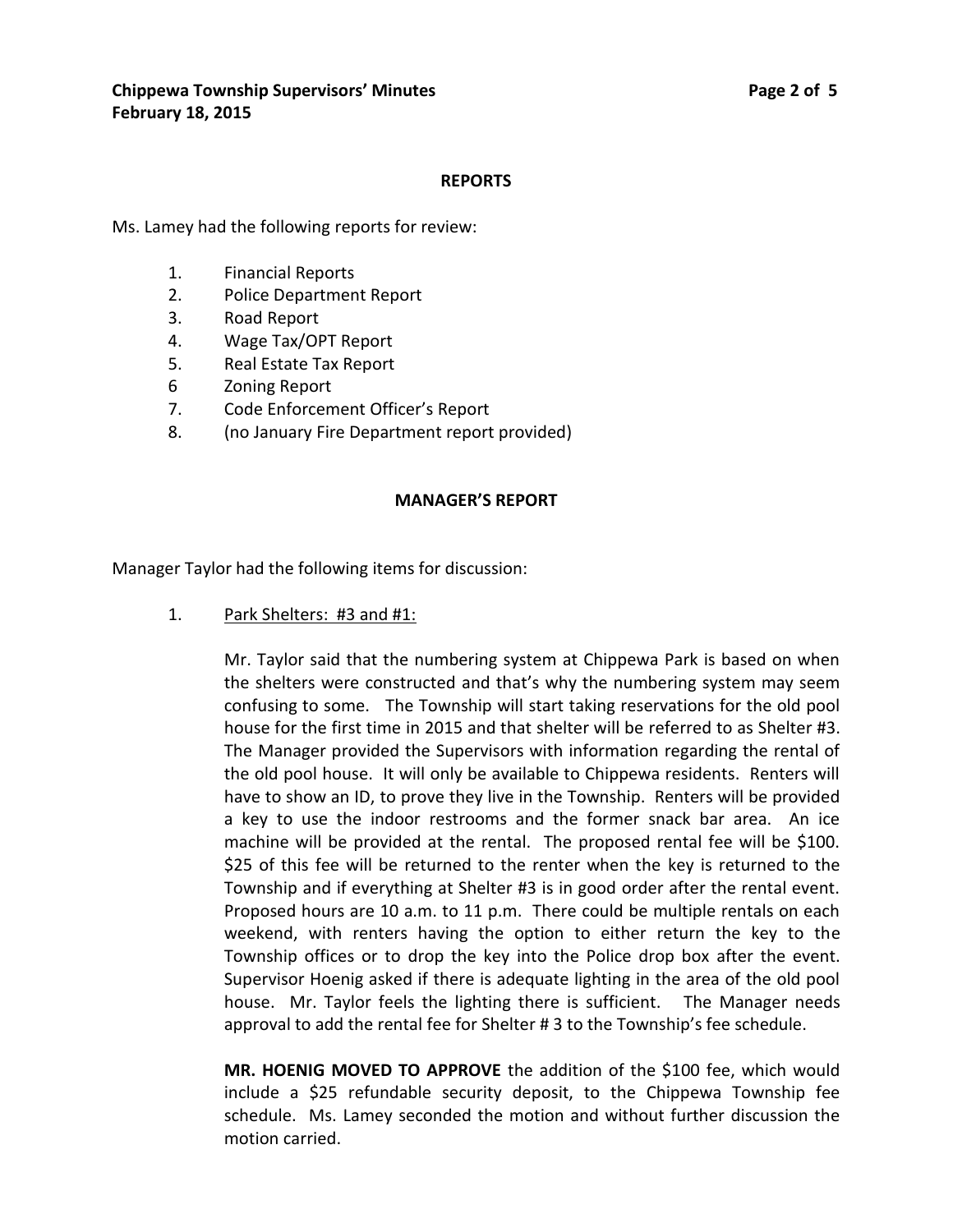#### **REPORTS**

Ms. Lamey had the following reports for review:

- 1. Financial Reports
- 2. Police Department Report
- 3. Road Report
- 4. Wage Tax/OPT Report
- 5. Real Estate Tax Report
- 6 Zoning Report
- 7. Code Enforcement Officer's Report
- 8. (no January Fire Department report provided)

#### **MANAGER'S REPORT**

Manager Taylor had the following items for discussion:

1. Park Shelters: #3 and #1:

Mr. Taylor said that the numbering system at Chippewa Park is based on when the shelters were constructed and that's why the numbering system may seem confusing to some. The Township will start taking reservations for the old pool house for the first time in 2015 and that shelter will be referred to as Shelter #3. The Manager provided the Supervisors with information regarding the rental of the old pool house. It will only be available to Chippewa residents. Renters will have to show an ID, to prove they live in the Township. Renters will be provided a key to use the indoor restrooms and the former snack bar area. An ice machine will be provided at the rental. The proposed rental fee will be \$100. \$25 of this fee will be returned to the renter when the key is returned to the Township and if everything at Shelter #3 is in good order after the rental event. Proposed hours are 10 a.m. to 11 p.m. There could be multiple rentals on each weekend, with renters having the option to either return the key to the Township offices or to drop the key into the Police drop box after the event. Supervisor Hoenig asked if there is adequate lighting in the area of the old pool house. Mr. Taylor feels the lighting there is sufficient. The Manager needs approval to add the rental fee for Shelter # 3 to the Township's fee schedule.

**MR. HOENIG MOVED TO APPROVE** the addition of the \$100 fee, which would include a \$25 refundable security deposit, to the Chippewa Township fee schedule. Ms. Lamey seconded the motion and without further discussion the motion carried.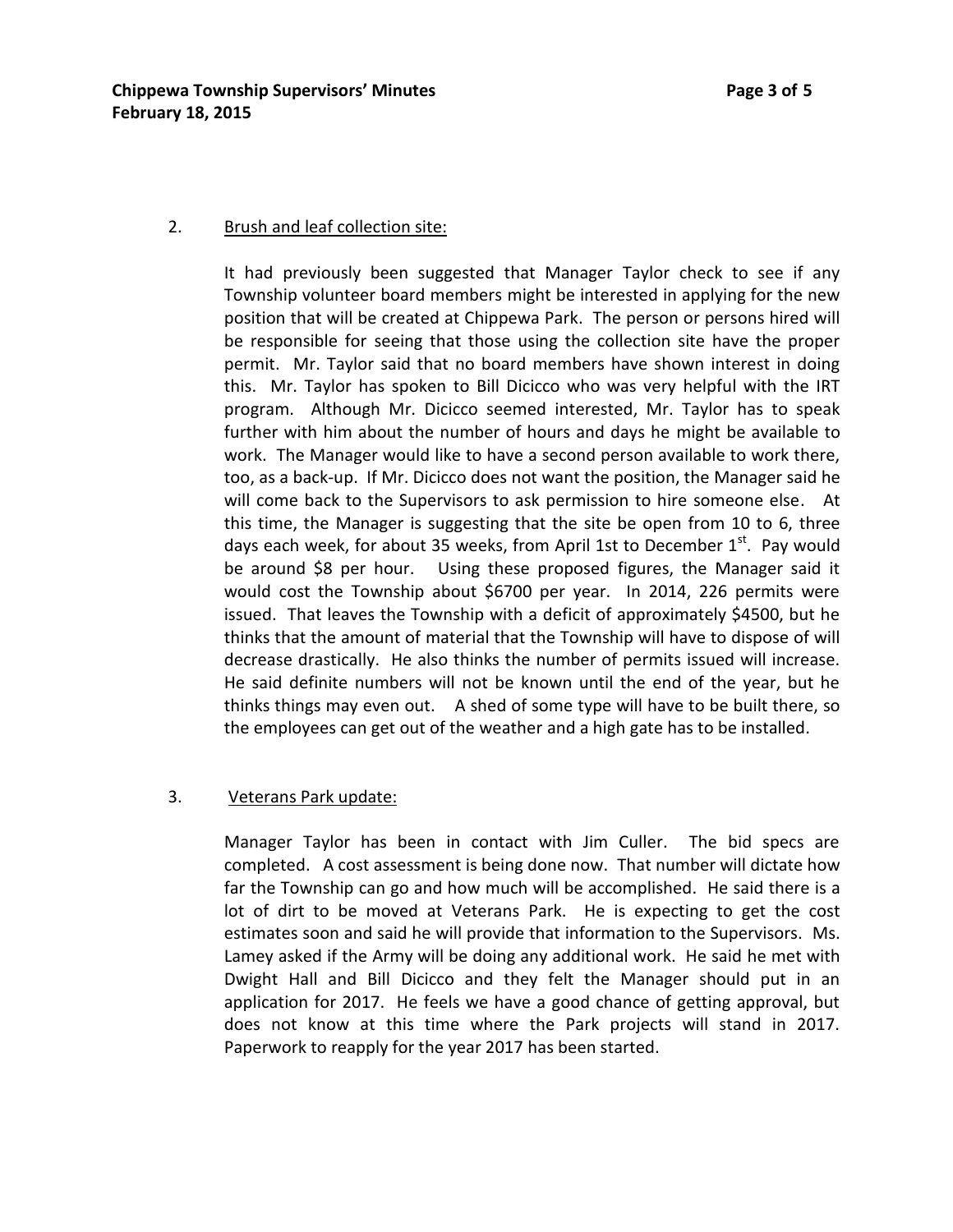#### 2. Brush and leaf collection site:

It had previously been suggested that Manager Taylor check to see if any Township volunteer board members might be interested in applying for the new position that will be created at Chippewa Park. The person or persons hired will be responsible for seeing that those using the collection site have the proper permit. Mr. Taylor said that no board members have shown interest in doing this. Mr. Taylor has spoken to Bill Dicicco who was very helpful with the IRT program. Although Mr. Dicicco seemed interested, Mr. Taylor has to speak further with him about the number of hours and days he might be available to work. The Manager would like to have a second person available to work there, too, as a back-up. If Mr. Dicicco does not want the position, the Manager said he will come back to the Supervisors to ask permission to hire someone else. At this time, the Manager is suggesting that the site be open from 10 to 6, three days each week, for about 35 weeks, from April 1st to December  $1<sup>st</sup>$ . Pay would be around \$8 per hour. Using these proposed figures, the Manager said it would cost the Township about \$6700 per year. In 2014, 226 permits were issued. That leaves the Township with a deficit of approximately \$4500, but he thinks that the amount of material that the Township will have to dispose of will decrease drastically. He also thinks the number of permits issued will increase. He said definite numbers will not be known until the end of the year, but he thinks things may even out. A shed of some type will have to be built there, so the employees can get out of the weather and a high gate has to be installed.

#### 3. Veterans Park update:

Manager Taylor has been in contact with Jim Culler. The bid specs are completed. A cost assessment is being done now. That number will dictate how far the Township can go and how much will be accomplished. He said there is a lot of dirt to be moved at Veterans Park. He is expecting to get the cost estimates soon and said he will provide that information to the Supervisors. Ms. Lamey asked if the Army will be doing any additional work. He said he met with Dwight Hall and Bill Dicicco and they felt the Manager should put in an application for 2017. He feels we have a good chance of getting approval, but does not know at this time where the Park projects will stand in 2017. Paperwork to reapply for the year 2017 has been started.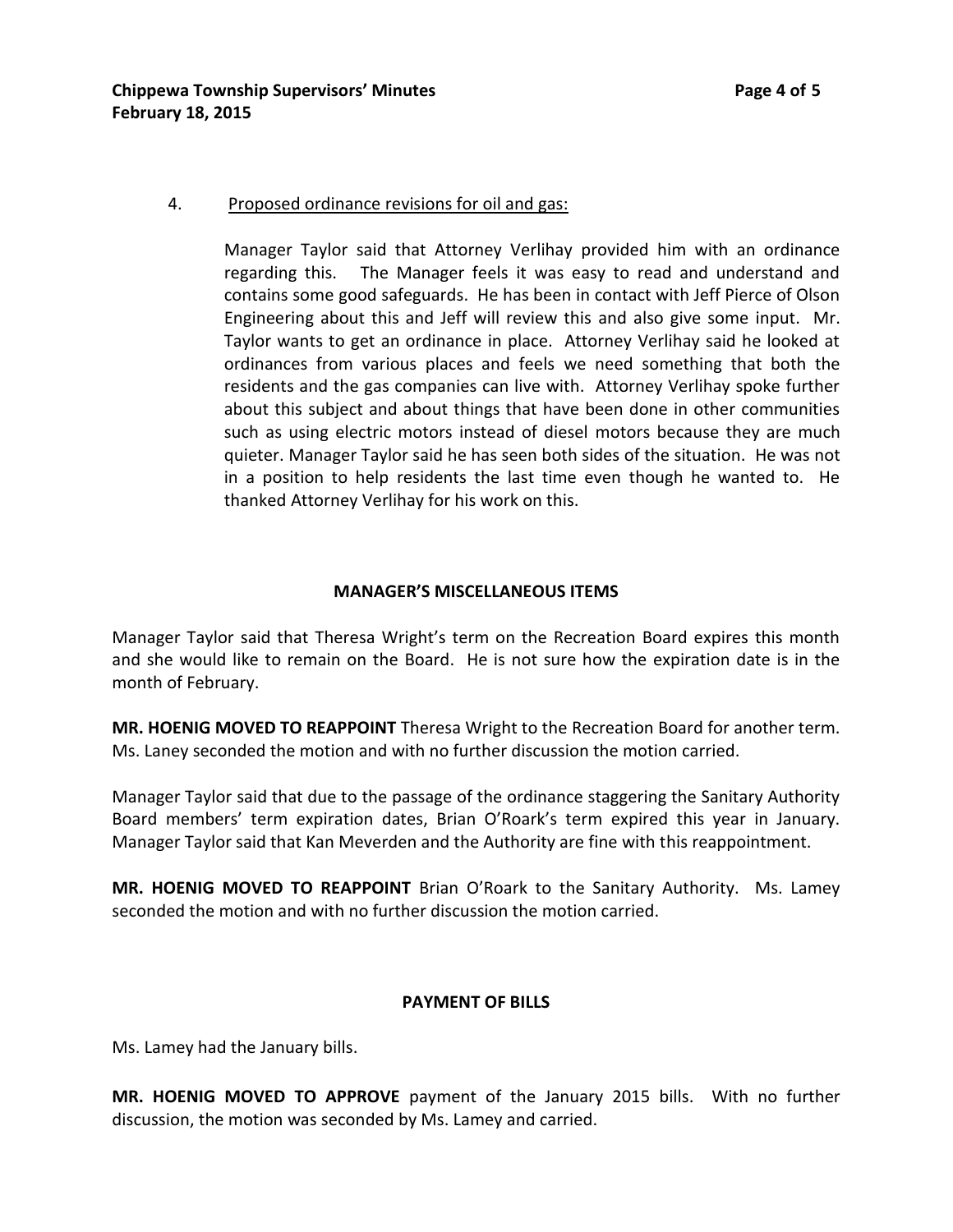### 4. Proposed ordinance revisions for oil and gas:

Manager Taylor said that Attorney Verlihay provided him with an ordinance regarding this. The Manager feels it was easy to read and understand and contains some good safeguards. He has been in contact with Jeff Pierce of Olson Engineering about this and Jeff will review this and also give some input. Mr. Taylor wants to get an ordinance in place. Attorney Verlihay said he looked at ordinances from various places and feels we need something that both the residents and the gas companies can live with. Attorney Verlihay spoke further about this subject and about things that have been done in other communities such as using electric motors instead of diesel motors because they are much quieter. Manager Taylor said he has seen both sides of the situation. He was not in a position to help residents the last time even though he wanted to. He thanked Attorney Verlihay for his work on this.

### **MANAGER'S MISCELLANEOUS ITEMS**

Manager Taylor said that Theresa Wright's term on the Recreation Board expires this month and she would like to remain on the Board. He is not sure how the expiration date is in the month of February.

**MR. HOENIG MOVED TO REAPPOINT** Theresa Wright to the Recreation Board for another term. Ms. Laney seconded the motion and with no further discussion the motion carried.

Manager Taylor said that due to the passage of the ordinance staggering the Sanitary Authority Board members' term expiration dates, Brian O'Roark's term expired this year in January. Manager Taylor said that Kan Meverden and the Authority are fine with this reappointment.

**MR. HOENIG MOVED TO REAPPOINT** Brian O'Roark to the Sanitary Authority. Ms. Lamey seconded the motion and with no further discussion the motion carried.

# **PAYMENT OF BILLS**

Ms. Lamey had the January bills.

**MR. HOENIG MOVED TO APPROVE** payment of the January 2015 bills. With no further discussion, the motion was seconded by Ms. Lamey and carried.